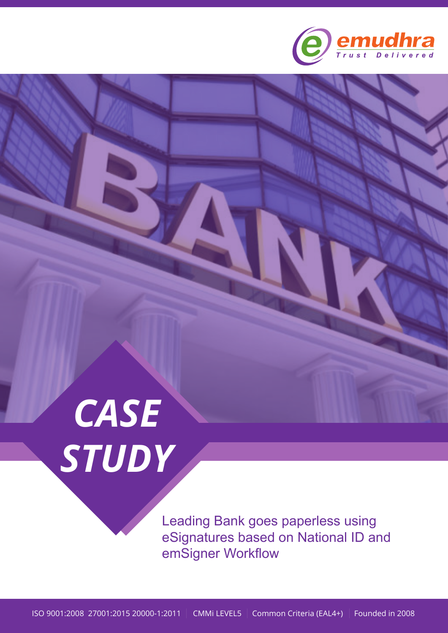

# *CASE STUDY*

Leading Bank goes paperless using eSignatures based on National ID and emSigner Workflow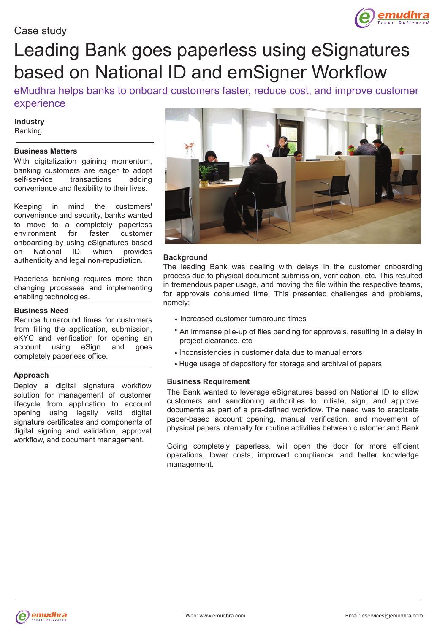

## Leading Bank goes paperless using eSignatures based on National ID and emSigner Workflow

eMudhra helps banks to onboard customers faster, reduce cost, and improve customer experience

#### **Industry** Banking

#### **Business Matters**

With digitalization gaining momentum, banking customers are eager to adopt self-service transactions adding convenience and flexibility to their lives.

Keeping in mind the customers' convenience and security, banks wanted to move to a completely paperless environment for faster customer onboarding by using eSignatures based on National ID, which provides authenticity and legal non-repudiation.

Paperless banking requires more than changing processes and implementing enabling technologies.

#### **Business Need**

Reduce turnaround times for customers from filling the application, submission, eKYC and verification for opening an account using eSign and goes completely paperless office.

#### **Approach**

Deploy a digital signature workflow solution for management of customer lifecycle from application to account opening using legally valid digital signature certificates and components of digital signing and validation, approval workflow, and document management.



#### **Background**

The leading Bank was dealing with delays in the customer onboarding process due to physical document submission, verification, etc. This resulted in tremendous paper usage, and moving the file within the respective teams, for approvals consumed time. This presented challenges and problems, namely:

- Increased customer turnaround times
- An immense pile-up of files pending for approvals, resulting in a delay in project clearance, etc
- Inconsistencies in customer data due to manual errors
- Huge usage of depository for storage and archival of papers

#### **Business Requirement**

The Bank wanted to leverage eSignatures based on National ID to allow customers and sanctioning authorities to initiate, sign, and approve documents as part of a pre-defined workflow. The need was to eradicate paper-based account opening, manual verification, and movement of physical papers internally for routine activities between customer and Bank.

Going completely paperless, will open the door for more efficient operations, lower costs, improved compliance, and better knowledge management.

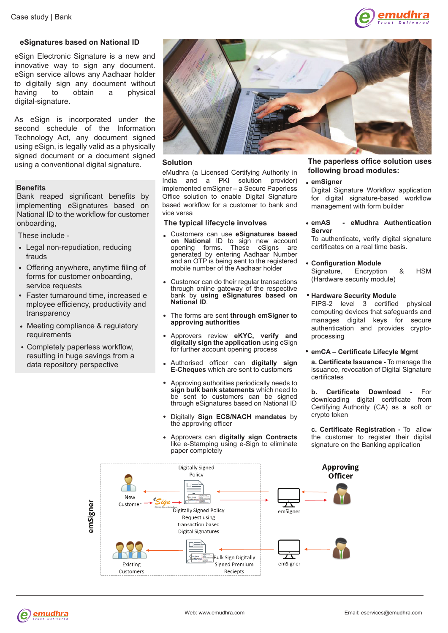

#### **eSignatures based on National ID**

eSign Electronic Signature is a new and innovative way to sign any document. eSign service allows any Aadhaar holder to digitally sign any document without having to obtain a physical digital-signature.

As eSign is incorporated under the second schedule of the Information Technology Act, any document signed using eSign, is legally valid as a physically signed document or a document signed using a conventional digital signature.

#### **Benefits**

Bank reaped significant benefits by implementing eSignatures based on National ID to the workflow for customer onboarding,

These include -

- Legal non-repudiation, reducing frauds
- Offering anywhere, anytime filing of forms for customer onboarding, service requests
- Faster turnaround time, increased e mployee efficiency, productivity and transparency
- Meeting compliance & regulatory requirements
- Completely paperless workflow, resulting in huge savings from a data repository perspective



#### **Solution**

eMudhra (a Licensed Certifying Authority in India and a PKI solution provider) implemented emSigner – a Secure Paperless Office solution to enable Digital Signature based workflow for a customer to bank and vice versa

#### **The typical lifecycle involves**

- Customers can use **eSignatures based on National** ID to sign new account opening forms. These eSigns are opening forms. These eSigns are generated by entering Aadhaar Number and an OTP is being sent to the registered mobile number of the Aadhaar holder
- Customer can do their regular transactions through online gateway of the respective bank by **using eSignatures based on National ID**.
- The forms are sent **through emSigner to approving authorities**
- Approvers review **eKYC, verify and digitally sign the application** using eSign for further account opening process
- Authorised officer can **digitally sign E-Cheques** which are sent to customers
- Approving authorities periodically needs to **sign bulk bank statements** which need to be sent to customers can be signed through eSignatures based on National ID
- Digitally **Sign ECS/NACH mandates** by the approving officer
- Approvers can **digitally sign Contracts** like e-Stamping using e-Sign to eliminate paper completely

#### **The paperless office solution uses following broad modules:**

#### **emSigner**

Digital Signature Workflow application for digital signature-based workflow management with form builder

**emAS - eMudhra Authentication Server**

To authenticate, verify digital signature certificates on a real time basis.

- **Configuration Module** Signature, Encryption & HSM (Hardware security module)
- **Hardware Security Module**

FIPS-2 level 3 certified physical computing devices that safeguards and manages digital keys for secure authentication and provides cryptoprocessing

#### **emCA – Certificate Lifecyle Mgmt**

**a. Certificate Issuance -** To manage the issuance, revocation of Digital Signature certificates

**b. Certificate Download -** For downloading digital certificate from Certifying Authority (CA) as a soft or crypto token

**c. Certificate Registration -** To allow the customer to register their digital signature on the Banking application